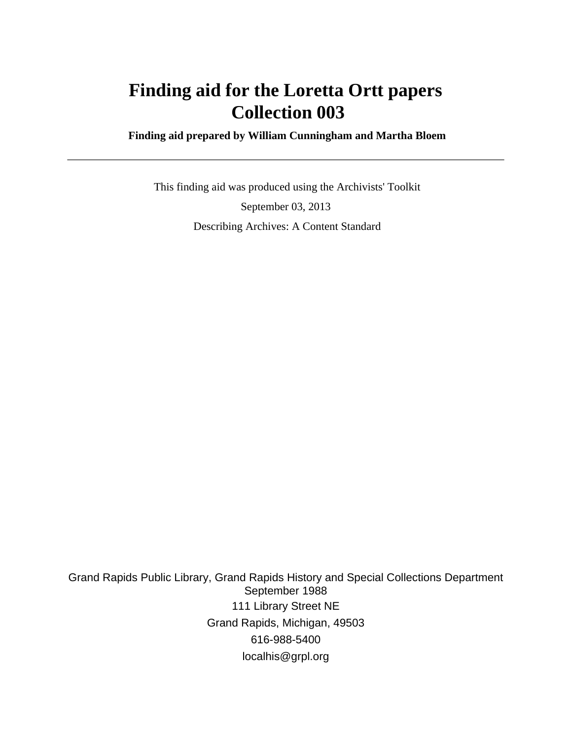# **Finding aid for the Loretta Ortt papers Collection 003**

 **Finding aid prepared by William Cunningham and Martha Bloem**

 This finding aid was produced using the Archivists' Toolkit September 03, 2013 Describing Archives: A Content Standard

Grand Rapids Public Library, Grand Rapids History and Special Collections Department September 1988 111 Library Street NE Grand Rapids, Michigan, 49503 616-988-5400 localhis@grpl.org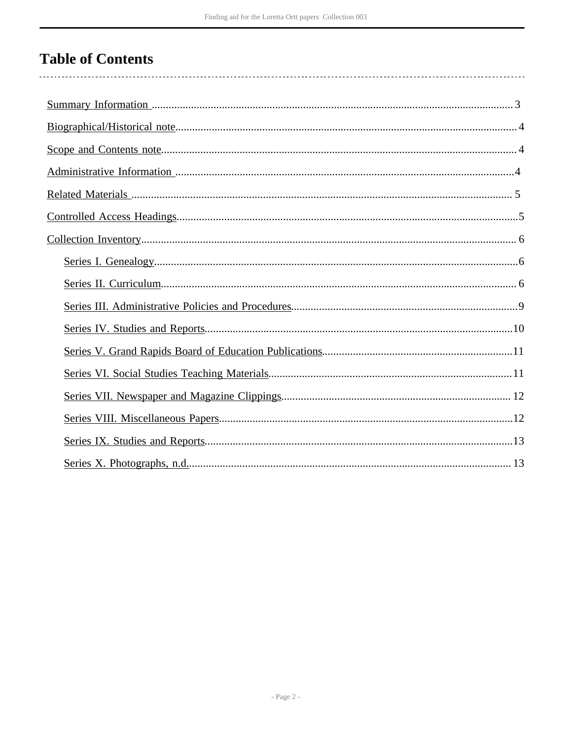# **Table of Contents**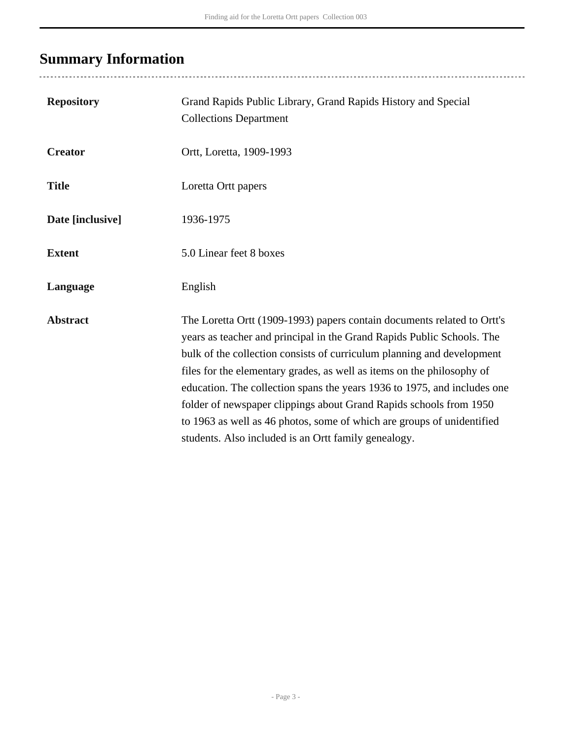# <span id="page-2-0"></span>**Summary Information**

| <b>Repository</b> | Grand Rapids Public Library, Grand Rapids History and Special<br><b>Collections Department</b>                                                                                                                                                                                                                                                                                                                                                                                                                                                                                            |
|-------------------|-------------------------------------------------------------------------------------------------------------------------------------------------------------------------------------------------------------------------------------------------------------------------------------------------------------------------------------------------------------------------------------------------------------------------------------------------------------------------------------------------------------------------------------------------------------------------------------------|
| <b>Creator</b>    | Ortt, Loretta, 1909-1993                                                                                                                                                                                                                                                                                                                                                                                                                                                                                                                                                                  |
| <b>Title</b>      | Loretta Ortt papers                                                                                                                                                                                                                                                                                                                                                                                                                                                                                                                                                                       |
| Date [inclusive]  | 1936-1975                                                                                                                                                                                                                                                                                                                                                                                                                                                                                                                                                                                 |
| <b>Extent</b>     | 5.0 Linear feet 8 boxes                                                                                                                                                                                                                                                                                                                                                                                                                                                                                                                                                                   |
| Language          | English                                                                                                                                                                                                                                                                                                                                                                                                                                                                                                                                                                                   |
| <b>Abstract</b>   | The Loretta Ortt (1909-1993) papers contain documents related to Ortt's<br>years as teacher and principal in the Grand Rapids Public Schools. The<br>bulk of the collection consists of curriculum planning and development<br>files for the elementary grades, as well as items on the philosophy of<br>education. The collection spans the years 1936 to 1975, and includes one<br>folder of newspaper clippings about Grand Rapids schools from 1950<br>to 1963 as well as 46 photos, some of which are groups of unidentified<br>students. Also included is an Ortt family genealogy. |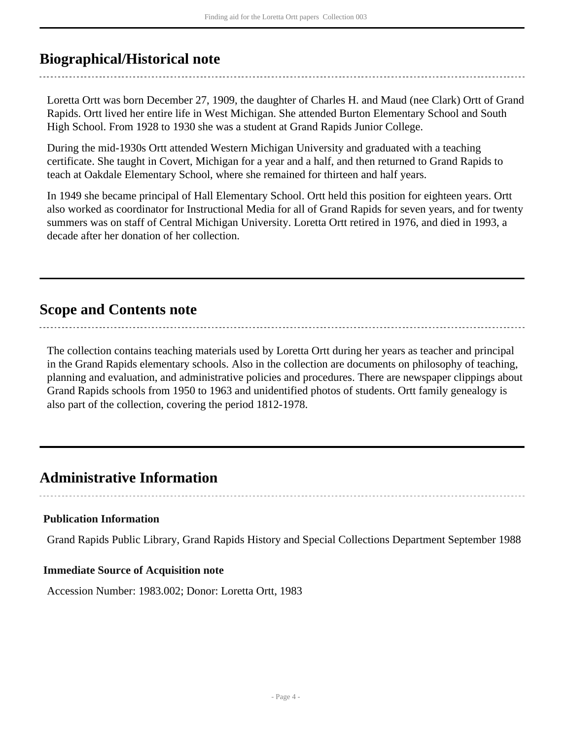# <span id="page-3-0"></span>**Biographical/Historical note**

Loretta Ortt was born December 27, 1909, the daughter of Charles H. and Maud (nee Clark) Ortt of Grand Rapids. Ortt lived her entire life in West Michigan. She attended Burton Elementary School and South High School. From 1928 to 1930 she was a student at Grand Rapids Junior College.

During the mid-1930s Ortt attended Western Michigan University and graduated with a teaching certificate. She taught in Covert, Michigan for a year and a half, and then returned to Grand Rapids to teach at Oakdale Elementary School, where she remained for thirteen and half years.

In 1949 she became principal of Hall Elementary School. Ortt held this position for eighteen years. Ortt also worked as coordinator for Instructional Media for all of Grand Rapids for seven years, and for twenty summers was on staff of Central Michigan University. Loretta Ortt retired in 1976, and died in 1993, a decade after her donation of her collection.

# <span id="page-3-1"></span>**Scope and Contents note**

The collection contains teaching materials used by Loretta Ortt during her years as teacher and principal in the Grand Rapids elementary schools. Also in the collection are documents on philosophy of teaching, planning and evaluation, and administrative policies and procedures. There are newspaper clippings about Grand Rapids schools from 1950 to 1963 and unidentified photos of students. Ortt family genealogy is also part of the collection, covering the period 1812-1978.

# <span id="page-3-2"></span>**Administrative Information**

## **Publication Information**

Grand Rapids Public Library, Grand Rapids History and Special Collections Department September 1988

## **Immediate Source of Acquisition note**

Accession Number: 1983.002; Donor: Loretta Ortt, 1983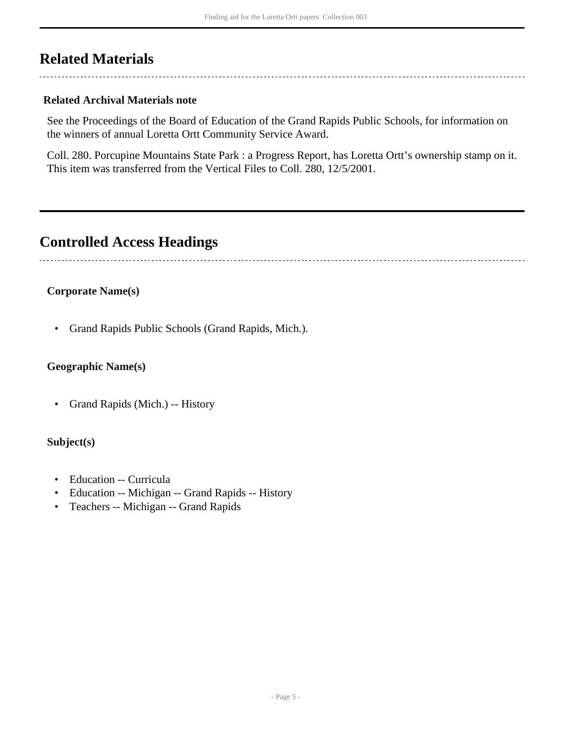# <span id="page-4-0"></span>**Related Materials**

### **Related Archival Materials note**

See the Proceedings of the Board of Education of the Grand Rapids Public Schools, for information on the winners of annual Loretta Ortt Community Service Award.

Coll. 280. Porcupine Mountains State Park : a Progress Report, has Loretta Ortt's ownership stamp on it. This item was transferred from the Vertical Files to Coll. 280, 12/5/2001.

# <span id="page-4-1"></span>**Controlled Access Headings**

### **Corporate Name(s)**

• Grand Rapids Public Schools (Grand Rapids, Mich.).

## **Geographic Name(s)**

• Grand Rapids (Mich.) -- History

### **Subject(s)**

- Education -- Curricula
- Education -- Michigan -- Grand Rapids -- History
- Teachers -- Michigan -- Grand Rapids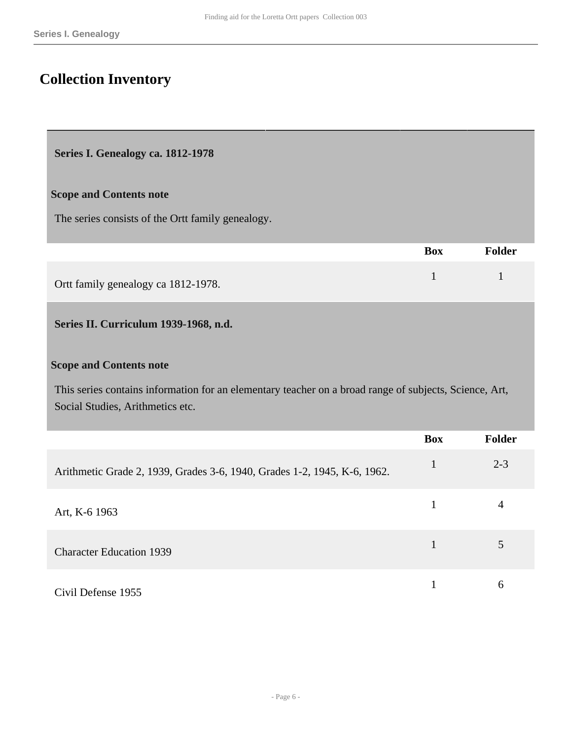# <span id="page-5-0"></span>**Collection Inventory**

#### <span id="page-5-1"></span>**Series I. Genealogy ca. 1812-1978**

#### **Scope and Contents note**

The series consists of the Ortt family genealogy.

|                                     | Box | Folder |
|-------------------------------------|-----|--------|
| Ortt family genealogy ca 1812-1978. |     |        |

## <span id="page-5-2"></span>**Series II. Curriculum 1939-1968, n.d.**

#### **Scope and Contents note**

This series contains information for an elementary teacher on a broad range of subjects, Science, Art, Social Studies, Arithmetics etc.

|                                                                          | <b>Box</b> | <b>Folder</b> |
|--------------------------------------------------------------------------|------------|---------------|
| Arithmetic Grade 2, 1939, Grades 3-6, 1940, Grades 1-2, 1945, K-6, 1962. |            | $2 - 3$       |
| Art, K-6 1963                                                            |            | 4             |
| <b>Character Education 1939</b>                                          |            |               |
| Civil Defense 1955                                                       |            | h             |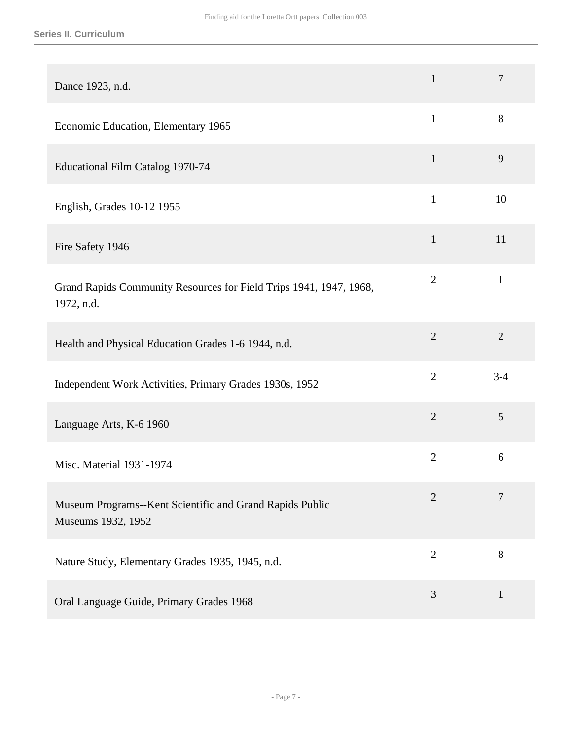| Dance 1923, n.d.                                                                 | $\mathbf{1}$   | $\overline{7}$ |
|----------------------------------------------------------------------------------|----------------|----------------|
| Economic Education, Elementary 1965                                              | $\mathbf{1}$   | $8\,$          |
| Educational Film Catalog 1970-74                                                 | $\mathbf{1}$   | 9              |
| English, Grades 10-12 1955                                                       | $\mathbf{1}$   | 10             |
| Fire Safety 1946                                                                 | $\mathbf{1}$   | 11             |
| Grand Rapids Community Resources for Field Trips 1941, 1947, 1968,<br>1972, n.d. | $\overline{2}$ | $\mathbf{1}$   |
| Health and Physical Education Grades 1-6 1944, n.d.                              | $\overline{2}$ | $\overline{2}$ |
| Independent Work Activities, Primary Grades 1930s, 1952                          | $\overline{2}$ | $3 - 4$        |
| Language Arts, K-6 1960                                                          | $\overline{2}$ | 5              |
| Misc. Material 1931-1974                                                         | $\overline{2}$ | 6              |
| Museum Programs--Kent Scientific and Grand Rapids Public<br>Museums 1932, 1952   | $\overline{2}$ | 7              |
| Nature Study, Elementary Grades 1935, 1945, n.d.                                 | $\overline{2}$ | 8              |
| Oral Language Guide, Primary Grades 1968                                         | 3              | $\mathbf{1}$   |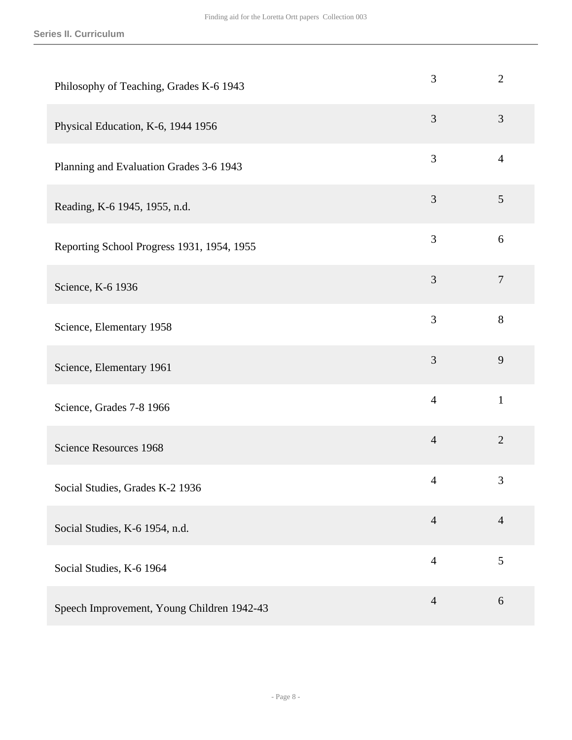| Philosophy of Teaching, Grades K-6 1943    | 3              | $\overline{2}$   |
|--------------------------------------------|----------------|------------------|
| Physical Education, K-6, 1944 1956         | 3              | $\mathfrak{Z}$   |
| Planning and Evaluation Grades 3-6 1943    | 3              | $\overline{4}$   |
| Reading, K-6 1945, 1955, n.d.              | 3              | 5                |
| Reporting School Progress 1931, 1954, 1955 | 3              | 6                |
| Science, K-6 1936                          | 3              | $\boldsymbol{7}$ |
| Science, Elementary 1958                   | $\overline{3}$ | 8                |
| Science, Elementary 1961                   | 3              | 9                |
| Science, Grades 7-8 1966                   | $\overline{4}$ | $\mathbf{1}$     |
| Science Resources 1968                     | $\overline{4}$ | $\overline{2}$   |
| Social Studies, Grades K-2 1936            | $\overline{4}$ | 3                |
| Social Studies, K-6 1954, n.d.             | $\overline{4}$ | $\overline{4}$   |
| Social Studies, K-6 1964                   | $\overline{4}$ | 5                |
| Speech Improvement, Young Children 1942-43 | $\overline{4}$ | 6                |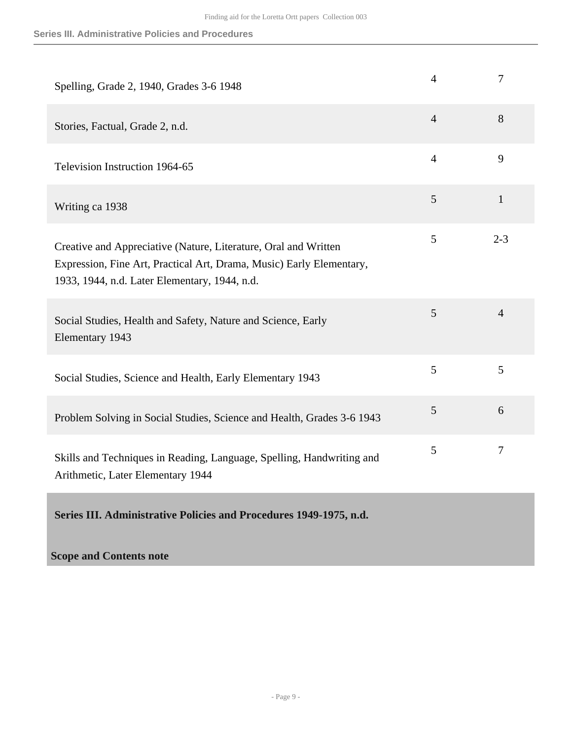| Spelling, Grade 2, 1940, Grades 3-6 1948                                                                                                                                                 | $\overline{4}$ | $\overline{7}$ |
|------------------------------------------------------------------------------------------------------------------------------------------------------------------------------------------|----------------|----------------|
| Stories, Factual, Grade 2, n.d.                                                                                                                                                          | $\overline{4}$ | 8              |
| Television Instruction 1964-65                                                                                                                                                           | $\overline{4}$ | 9              |
| Writing ca 1938                                                                                                                                                                          | 5              | $\mathbf{1}$   |
| Creative and Appreciative (Nature, Literature, Oral and Written<br>Expression, Fine Art, Practical Art, Drama, Music) Early Elementary,<br>1933, 1944, n.d. Later Elementary, 1944, n.d. | 5              | $2 - 3$        |
| Social Studies, Health and Safety, Nature and Science, Early<br>Elementary 1943                                                                                                          | 5              | $\overline{4}$ |
| Social Studies, Science and Health, Early Elementary 1943                                                                                                                                | 5              | 5              |
| Problem Solving in Social Studies, Science and Health, Grades 3-6 1943                                                                                                                   | 5              | 6              |
| Skills and Techniques in Reading, Language, Spelling, Handwriting and<br>Arithmetic, Later Elementary 1944                                                                               | 5              | 7              |
| Series III. Administrative Policies and Procedures 1949-1975, n.d.                                                                                                                       |                |                |

## <span id="page-8-0"></span>**Scope and Contents note**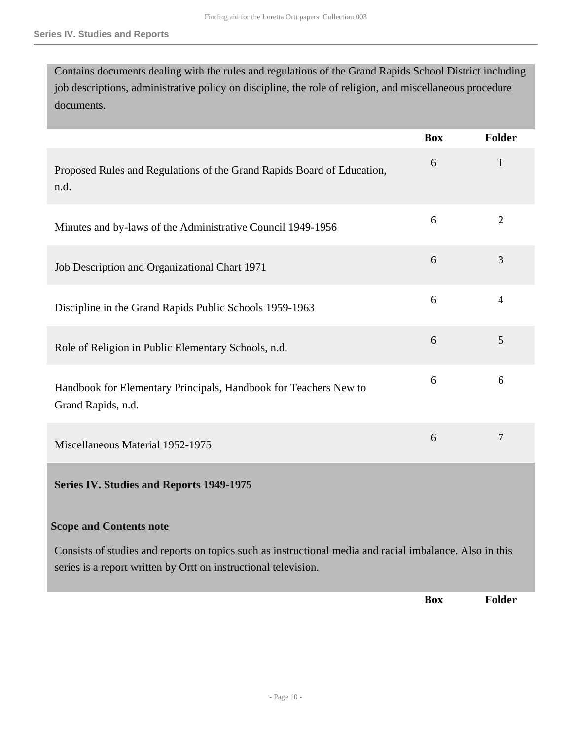Contains documents dealing with the rules and regulations of the Grand Rapids School District including job descriptions, administrative policy on discipline, the role of religion, and miscellaneous procedure documents.

<span id="page-9-0"></span>

|                                                                                                                                                                             | <b>Box</b> | <b>Folder</b>  |
|-----------------------------------------------------------------------------------------------------------------------------------------------------------------------------|------------|----------------|
| Proposed Rules and Regulations of the Grand Rapids Board of Education,<br>n.d.                                                                                              | 6          | $\mathbf{1}$   |
| Minutes and by-laws of the Administrative Council 1949-1956                                                                                                                 | 6          | $\overline{2}$ |
| Job Description and Organizational Chart 1971                                                                                                                               | 6          | 3              |
| Discipline in the Grand Rapids Public Schools 1959-1963                                                                                                                     | 6          | 4              |
| Role of Religion in Public Elementary Schools, n.d.                                                                                                                         | 6          | 5              |
| Handbook for Elementary Principals, Handbook for Teachers New to<br>Grand Rapids, n.d.                                                                                      | 6          | 6              |
| Miscellaneous Material 1952-1975                                                                                                                                            | 6          | $\overline{7}$ |
| <b>Series IV. Studies and Reports 1949-1975</b>                                                                                                                             |            |                |
| <b>Scope and Contents note</b>                                                                                                                                              |            |                |
| Consists of studies and reports on topics such as instructional media and racial imbalance. Also in this<br>series is a report written by Ortt on instructional television. |            |                |
|                                                                                                                                                                             | <b>Box</b> | <b>Folder</b>  |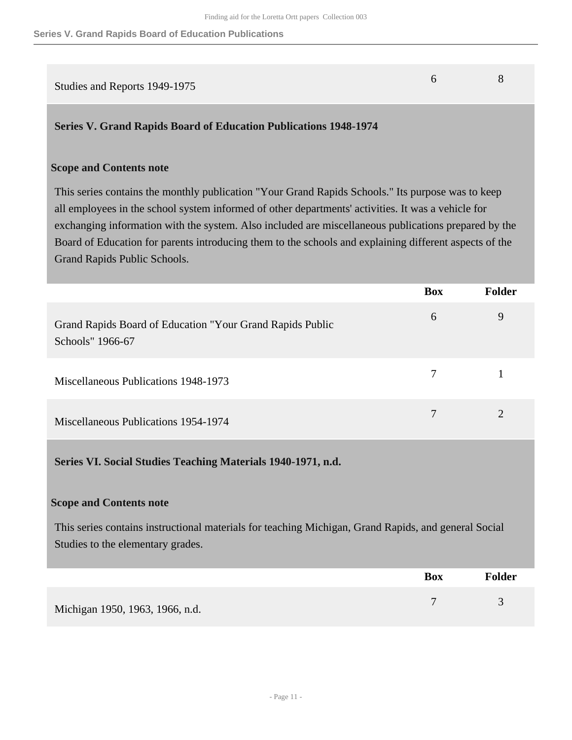# Studies and Reports 1949-1975 6 8

## <span id="page-10-0"></span>**Series V. Grand Rapids Board of Education Publications 1948-1974**

### **Scope and Contents note**

This series contains the monthly publication "Your Grand Rapids Schools." Its purpose was to keep all employees in the school system informed of other departments' activities. It was a vehicle for exchanging information with the system. Also included are miscellaneous publications prepared by the Board of Education for parents introducing them to the schools and explaining different aspects of the Grand Rapids Public Schools.

|                                                                               | <b>Box</b> | <b>Folder</b> |
|-------------------------------------------------------------------------------|------------|---------------|
| Grand Rapids Board of Education "Your Grand Rapids Public<br>Schools" 1966-67 | 6          | 9             |
| Miscellaneous Publications 1948-1973                                          | 7          |               |
| Miscellaneous Publications 1954-1974                                          |            |               |

<span id="page-10-1"></span>**Series VI. Social Studies Teaching Materials 1940-1971, n.d.** 

#### **Scope and Contents note**

This series contains instructional materials for teaching Michigan, Grand Rapids, and general Social Studies to the elementary grades.

|                                 | <b>Box</b> | <b>Folder</b> |
|---------------------------------|------------|---------------|
| Michigan 1950, 1963, 1966, n.d. |            |               |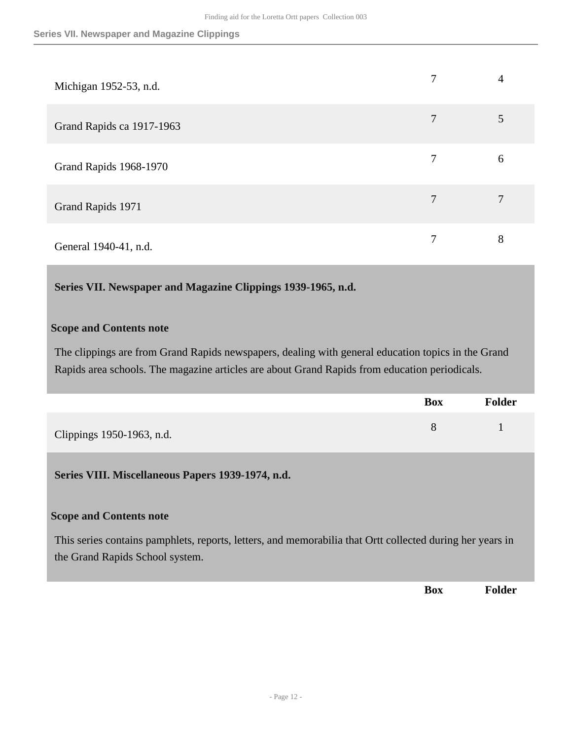| Michigan 1952-53, n.d.    | 7 | 4 |
|---------------------------|---|---|
| Grand Rapids ca 1917-1963 | 7 |   |
| Grand Rapids 1968-1970    | 7 | 6 |
| Grand Rapids 1971         | 7 | 7 |
| General 1940-41, n.d.     | 7 | 8 |

<span id="page-11-0"></span>**Series VII. Newspaper and Magazine Clippings 1939-1965, n.d.** 

#### **Scope and Contents note**

The clippings are from Grand Rapids newspapers, dealing with general education topics in the Grand Rapids area schools. The magazine articles are about Grand Rapids from education periodicals.

|                           | <b>Box</b> | <b>Folder</b> |
|---------------------------|------------|---------------|
| Clippings 1950-1963, n.d. |            |               |

### <span id="page-11-1"></span>**Series VIII. Miscellaneous Papers 1939-1974, n.d.**

#### **Scope and Contents note**

This series contains pamphlets, reports, letters, and memorabilia that Ortt collected during her years in the Grand Rapids School system.

**Box Folder**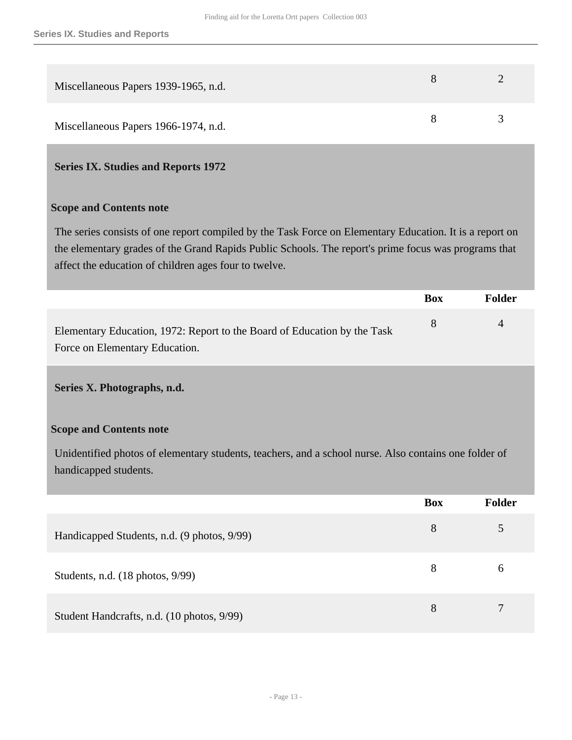| Miscellaneous Papers 1939-1965, n.d. |  |
|--------------------------------------|--|
| Miscellaneous Papers 1966-1974, n.d. |  |

#### <span id="page-12-0"></span>**Series IX. Studies and Reports 1972**

#### **Scope and Contents note**

The series consists of one report compiled by the Task Force on Elementary Education. It is a report on the elementary grades of the Grand Rapids Public Schools. The report's prime focus was programs that affect the education of children ages four to twelve.

|                                                                          | Box          | Folder   |
|--------------------------------------------------------------------------|--------------|----------|
| Elementary Education, 1972: Report to the Board of Education by the Task | $\mathbf{8}$ | $\Delta$ |
| Force on Elementary Education.                                           |              |          |

#### <span id="page-12-1"></span>**Series X. Photographs, n.d.**

#### **Scope and Contents note**

Unidentified photos of elementary students, teachers, and a school nurse. Also contains one folder of handicapped students.

|                                             | <b>Box</b> | <b>Folder</b> |
|---------------------------------------------|------------|---------------|
| Handicapped Students, n.d. (9 photos, 9/99) | 8          |               |
| Students, n.d. (18 photos, 9/99)            | 8          | 6             |
| Student Handcrafts, n.d. (10 photos, 9/99)  | 8          | 7             |